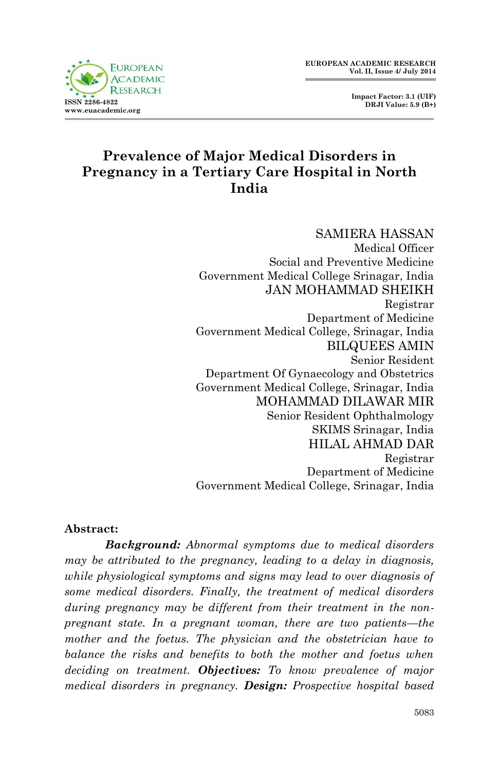

# **Prevalence of Major Medical Disorders in Pregnancy in a Tertiary Care Hospital in North India**

SAMIERA HASSAN Medical Officer Social and Preventive Medicine Government Medical College Srinagar, India JAN MOHAMMAD SHEIKH Registrar Department of Medicine Government Medical College, Srinagar, India BILQUEES AMIN Senior Resident Department Of Gynaecology and Obstetrics Government Medical College, Srinagar, India MOHAMMAD DILAWAR MIR Senior Resident Ophthalmology SKIMS Srinagar, India HILAL AHMAD DAR Registrar Department of Medicine Government Medical College, Srinagar, India

#### **Abstract:**

*Background: Abnormal symptoms due to medical disorders may be attributed to the pregnancy, leading to a delay in diagnosis, while physiological symptoms and signs may lead to over diagnosis of some medical disorders. Finally, the treatment of medical disorders during pregnancy may be different from their treatment in the nonpregnant state. In a pregnant woman, there are two patients—the*  mother and the foetus. The physician and the obstetrician have to *balance the risks and benefits to both the mother and foetus when deciding on treatment. Objectives: To know prevalence of major medical disorders in pregnancy. Design: Prospective hospital based*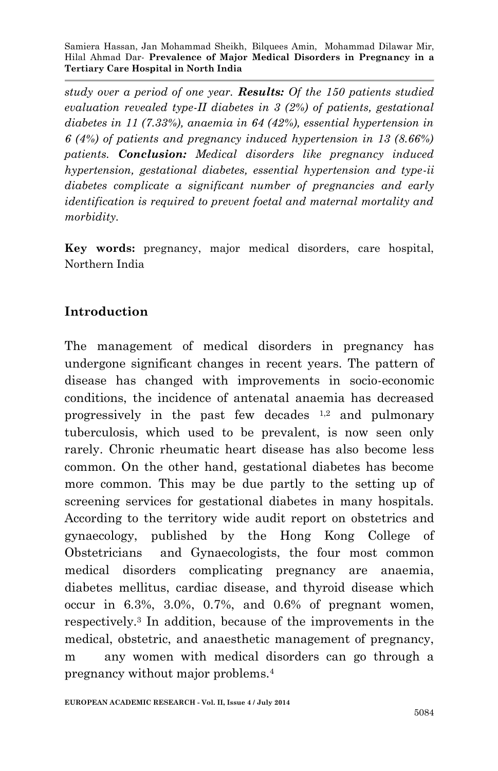*study over a period of one year. Results: Of the 150 patients studied evaluation revealed type-II diabetes in 3 (2%) of patients, gestational diabetes in 11 (7.33%), anaemia in 64 (42%), essential hypertension in 6 (4%) of patients and pregnancy induced hypertension in 13 (8.66%) patients. Conclusion: Medical disorders like pregnancy induced hypertension, gestational diabetes, essential hypertension and type-ii diabetes complicate a significant number of pregnancies and early identification is required to prevent foetal and maternal mortality and morbidity.*

**Key words:** pregnancy, major medical disorders, care hospital, Northern India

### **Introduction**

The management of medical disorders in pregnancy has undergone significant changes in recent years. The pattern of disease has changed with improvements in socio-economic conditions, the incidence of antenatal anaemia has decreased progressively in the past few decades  $1,2$  and pulmonary tuberculosis, which used to be prevalent, is now seen only rarely. Chronic rheumatic heart disease has also become less common. On the other hand, gestational diabetes has become more common. This may be due partly to the setting up of screening services for gestational diabetes in many hospitals. According to the territory wide audit report on obstetrics and gynaecology, published by the Hong Kong College of Obstetricians and Gynaecologists, the four most common medical disorders complicating pregnancy are anaemia, diabetes mellitus, cardiac disease, and thyroid disease which occur in 6.3%, 3.0%, 0.7%, and 0.6% of pregnant women, respectively.<sup>3</sup> In addition, because of the improvements in the medical, obstetric, and anaesthetic management of pregnancy, m any women with medical disorders can go through a pregnancy without major problems.4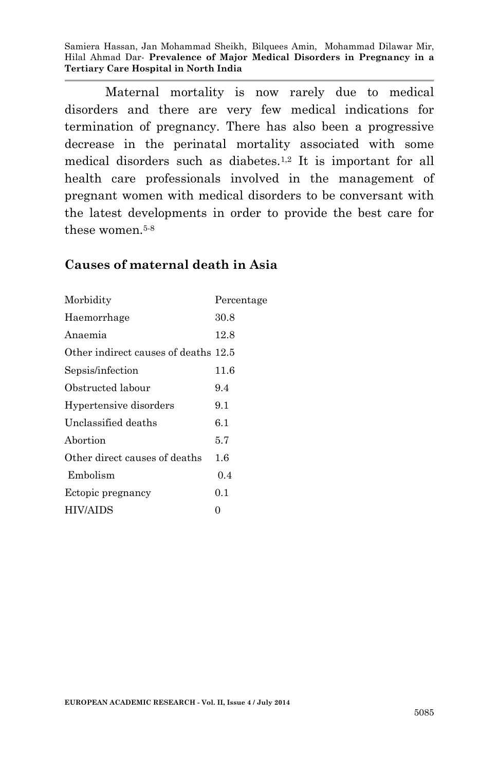Maternal mortality is now rarely due to medical disorders and there are very few medical indications for termination of pregnancy. There has also been a progressive decrease in the perinatal mortality associated with some medical disorders such as diabetes.1,2 It is important for all health care professionals involved in the management of pregnant women with medical disorders to be conversant with the latest developments in order to provide the best care for these women.5-8

#### **Causes of maternal death in Asia**

| Percentage                           |
|--------------------------------------|
| 30.8                                 |
| 12.8                                 |
| Other indirect causes of deaths 12.5 |
| 11.6                                 |
| 9.4                                  |
| 9.1                                  |
| 6.1                                  |
| 5.7                                  |
| 1.6                                  |
| 0.4                                  |
| 0.1                                  |
| 0                                    |
|                                      |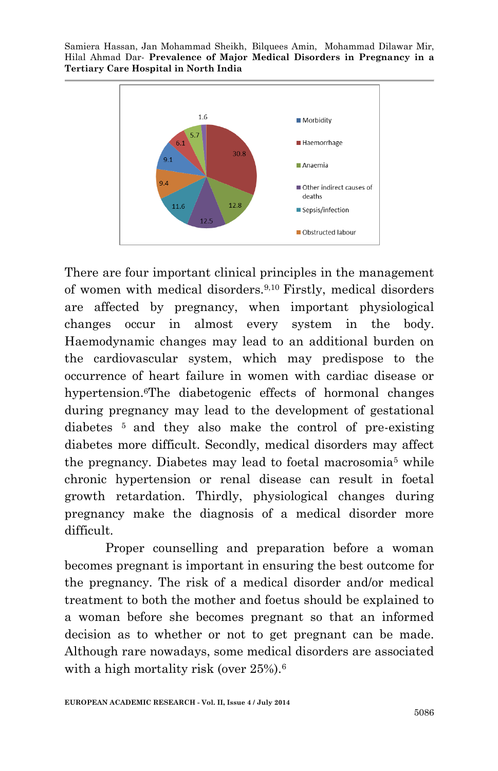

There are four important clinical principles in the management of women with medical disorders.9,10 Firstly, medical disorders are affected by pregnancy, when important physiological changes occur in almost every system in the body. Haemodynamic changes may lead to an additional burden on the cardiovascular system, which may predispose to the occurrence of heart failure in women with cardiac disease or hypertension.<sup>6</sup>The diabetogenic effects of hormonal changes during pregnancy may lead to the development of gestational diabetes 5 and they also make the control of pre-existing diabetes more difficult. Secondly, medical disorders may affect the pregnancy. Diabetes may lead to foetal macrosomia<sup>5</sup> while chronic hypertension or renal disease can result in foetal growth retardation. Thirdly, physiological changes during pregnancy make the diagnosis of a medical disorder more difficult.

Proper counselling and preparation before a woman becomes pregnant is important in ensuring the best outcome for the pregnancy. The risk of a medical disorder and/or medical treatment to both the mother and foetus should be explained to a woman before she becomes pregnant so that an informed decision as to whether or not to get pregnant can be made. Although rare nowadays, some medical disorders are associated with a high mortality risk (over 25%).<sup>6</sup>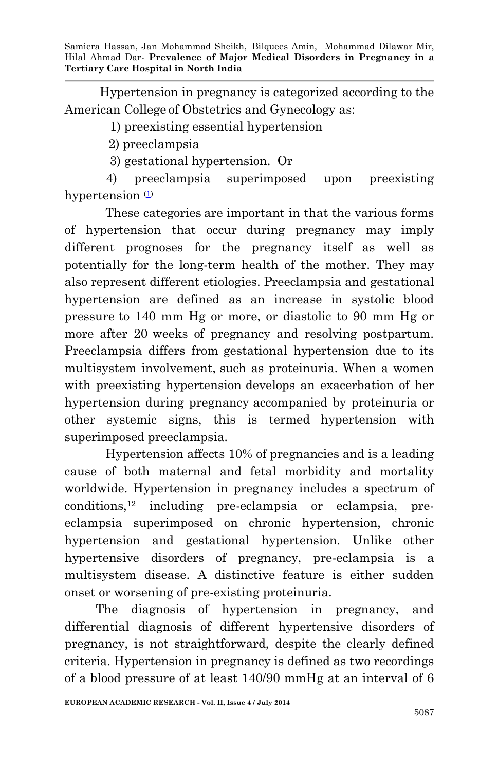Hypertension in pregnancy is categorized according to the American College of Obstetrics and Gynecology as:

1) preexisting essential hypertension

2) preeclampsia

3) gestational hypertension. Or

 4) preeclampsia superimposed upon preexisting hypertension  $\Phi$ 

These categories are important in that the various forms of hypertension that occur during pregnancy may imply different prognoses for the pregnancy itself as well as potentially for the long-term health of the mother. They may also represent different etiologies. Preeclampsia and gestational hypertension are defined as an increase in systolic blood pressure to 140 mm Hg or more, or diastolic to 90 mm Hg or more after 20 weeks of pregnancy and resolving postpartum. Preeclampsia differs from gestational hypertension due to its multisystem involvement, such as proteinuria. When a women with preexisting hypertension develops an exacerbation of her hypertension during pregnancy accompanied by proteinuria or other systemic signs, this is termed hypertension with superimposed preeclampsia.

Hypertension affects 10% of pregnancies and is a leading cause of both maternal and fetal morbidity and mortality worldwide. Hypertension in pregnancy includes a spectrum of conditions,<sup>12</sup> including pre-eclampsia or eclampsia, preeclampsia superimposed on chronic hypertension, chronic hypertension and gestational hypertension. Unlike other hypertensive disorders of pregnancy, pre-eclampsia is a multisystem disease. A distinctive feature is either sudden onset or worsening of pre-existing proteinuria.

 The diagnosis of hypertension in pregnancy, and differential diagnosis of different hypertensive disorders of pregnancy, is not straightforward, despite the clearly defined criteria. Hypertension in pregnancy is defined as two recordings of a blood pressure of at least 140/90 mmHg at an interval of 6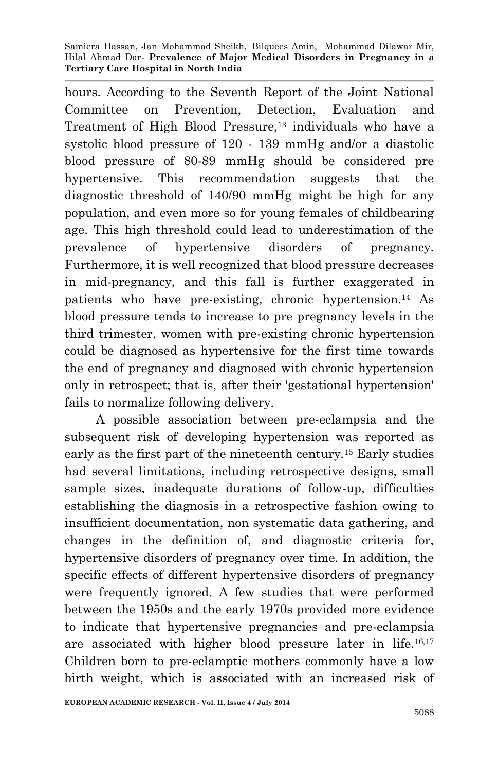hours. According to the Seventh Report of the Joint National Committee on Prevention, Detection, Evaluation and Treatment of High Blood Pressure,<sup>13</sup> individuals who have a systolic blood pressure of 120 - 139 mmHg and/or a diastolic blood pressure of 80-89 mmHg should be considered pre hypertensive. This recommendation suggests that the diagnostic threshold of 140/90 mmHg might be high for any population, and even more so for young females of childbearing age. This high threshold could lead to underestimation of the prevalence of hypertensive disorders of pregnancy. Furthermore, it is well recognized that blood pressure decreases in mid-pregnancy, and this fall is further exaggerated in patients who have pre-existing, chronic hypertension.<sup>14</sup> As blood pressure tends to increase to pre pregnancy levels in the third trimester, women with pre-existing chronic hypertension could be diagnosed as hypertensive for the first time towards the end of pregnancy and diagnosed with chronic hypertension only in retrospect; that is, after their 'gestational hypertension' fails to normalize following delivery.

 A possible association between pre-eclampsia and the subsequent risk of developing hypertension was reported as early as the first part of the nineteenth century.<sup>15</sup> Early studies had several limitations, including retrospective designs, small sample sizes, inadequate durations of follow-up, difficulties establishing the diagnosis in a retrospective fashion owing to insufficient documentation, non systematic data gathering, and changes in the definition of, and diagnostic criteria for, hypertensive disorders of pregnancy over time. In addition, the specific effects of different hypertensive disorders of pregnancy were frequently ignored. A few studies that were performed between the 1950s and the early 1970s provided more evidence to indicate that hypertensive pregnancies and pre-eclampsia are associated with higher blood pressure later in life.16,17 Children born to pre-eclamptic mothers commonly have a low birth weight, which is associated with an increased risk of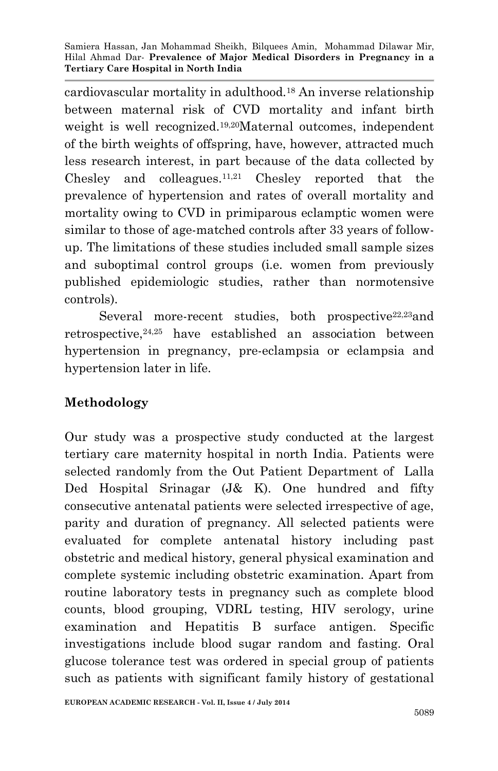cardiovascular mortality in adulthood.<sup>18</sup> An inverse relationship between maternal risk of CVD mortality and infant birth weight is well recognized.<sup>19,20</sup>Maternal outcomes, independent of the birth weights of offspring, have, however, attracted much less research interest, in part because of the data collected by Chesley and colleagues.11,21 Chesley reported that the prevalence of hypertension and rates of overall mortality and mortality owing to CVD in primiparous eclamptic women were similar to those of age-matched controls after 33 years of followup. The limitations of these studies included small sample sizes and suboptimal control groups (i.e. women from previously published epidemiologic studies, rather than normotensive controls).

Several more-recent studies, both prospective $22,23$ and retrospective,24,25 have established an association between hypertension in pregnancy, pre-eclampsia or eclampsia and hypertension later in life.

## **Methodology**

Our study was a prospective study conducted at the largest tertiary care maternity hospital in north India. Patients were selected randomly from the Out Patient Department of Lalla Ded Hospital Srinagar (J& K). One hundred and fifty consecutive antenatal patients were selected irrespective of age, parity and duration of pregnancy. All selected patients were evaluated for complete antenatal history including past obstetric and medical history, general physical examination and complete systemic including obstetric examination. Apart from routine laboratory tests in pregnancy such as complete blood counts, blood grouping, VDRL testing, HIV serology, urine examination and Hepatitis B surface antigen. Specific investigations include blood sugar random and fasting. Oral glucose tolerance test was ordered in special group of patients such as patients with significant family history of gestational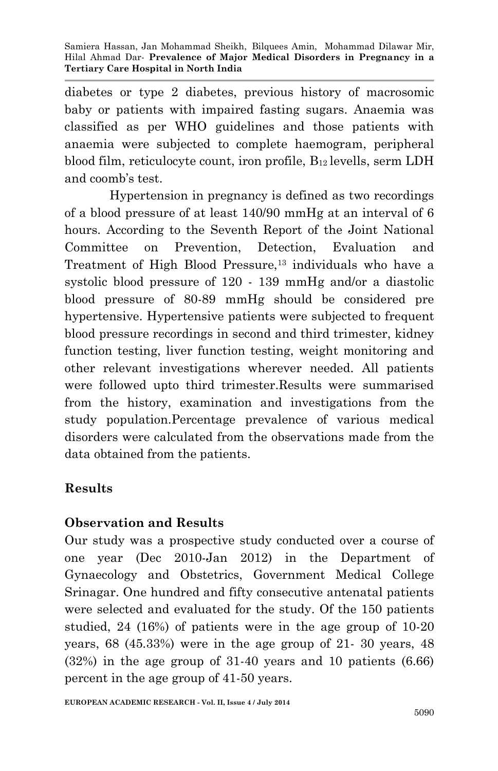diabetes or type 2 diabetes, previous history of macrosomic baby or patients with impaired fasting sugars. Anaemia was classified as per WHO guidelines and those patients with anaemia were subjected to complete haemogram, peripheral blood film, reticulocyte count, iron profile,  $B_{12}$  levells, serm LDH and coomb's test.

 Hypertension in pregnancy is defined as two recordings of a blood pressure of at least 140/90 mmHg at an interval of 6 hours. According to the Seventh Report of the Joint National Committee on Prevention, Detection, Evaluation and Treatment of High Blood Pressure,<sup>13</sup> individuals who have a systolic blood pressure of 120 - 139 mmHg and/or a diastolic blood pressure of 80-89 mmHg should be considered pre hypertensive. Hypertensive patients were subjected to frequent blood pressure recordings in second and third trimester, kidney function testing, liver function testing, weight monitoring and other relevant investigations wherever needed. All patients were followed upto third trimester.Results were summarised from the history, examination and investigations from the study population.Percentage prevalence of various medical disorders were calculated from the observations made from the data obtained from the patients.

# **Results**

## **Observation and Results**

Our study was a prospective study conducted over a course of one year (Dec 2010-Jan 2012) in the Department of Gynaecology and Obstetrics, Government Medical College Srinagar. One hundred and fifty consecutive antenatal patients were selected and evaluated for the study. Of the 150 patients studied, 24 (16%) of patients were in the age group of 10-20 years, 68 (45.33%) were in the age group of 21- 30 years, 48 (32%) in the age group of 31-40 years and 10 patients (6.66) percent in the age group of 41-50 years.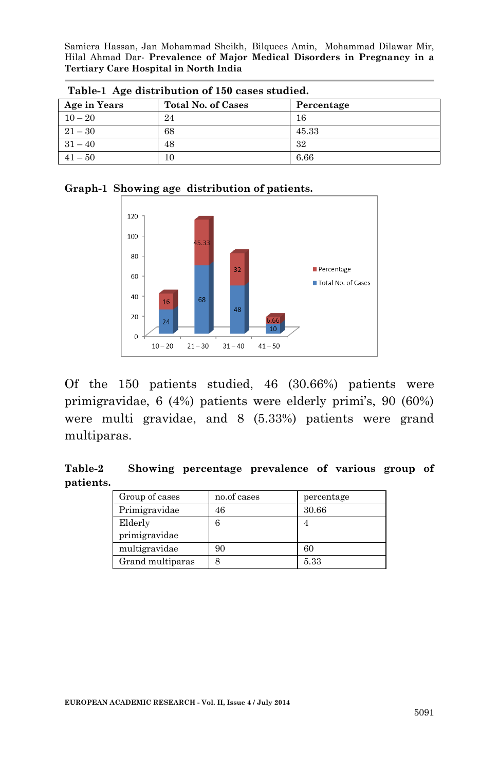| Table-1 Age distribution of 150 cases studied. |                           |            |  |  |  |
|------------------------------------------------|---------------------------|------------|--|--|--|
| Age in Years                                   | <b>Total No. of Cases</b> | Percentage |  |  |  |
| $10 - 20$                                      | 24                        | 16         |  |  |  |
| $21 - 30$                                      | 68                        | 45.33      |  |  |  |
| $31 - 40$                                      | 48                        | 32         |  |  |  |
| $41 - 50$                                      | 10                        | 6.66       |  |  |  |





Of the 150 patients studied, 46 (30.66%) patients were primigravidae, 6 (4%) patients were elderly primi's, 90 (60%) were multi gravidae, and 8 (5.33%) patients were grand multiparas.

**Table-2 Showing percentage prevalence of various group of patients.**

| Group of cases   | no.of cases | percentage |
|------------------|-------------|------------|
| Primigravidae    | 46          | 30.66      |
| Elderly          |             |            |
| primigravidae    |             |            |
| multigravidae    | 90          | 60         |
| Grand multiparas |             | 5.33       |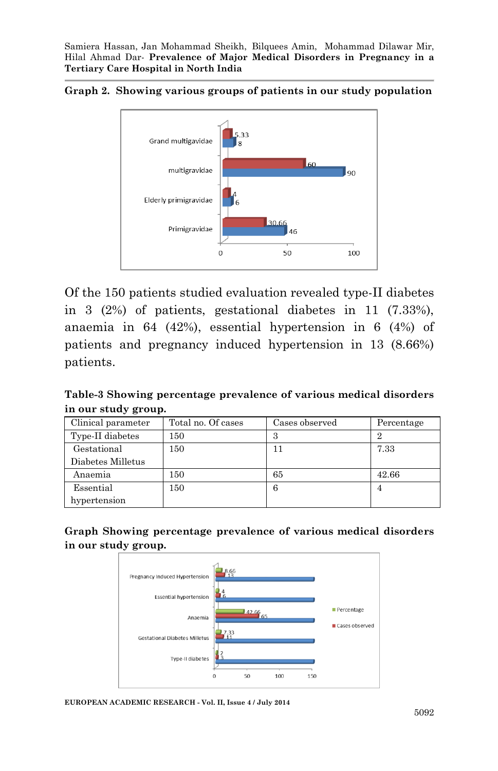



Of the 150 patients studied evaluation revealed type-II diabetes in 3 (2%) of patients, gestational diabetes in 11 (7.33%), anaemia in 64 (42%), essential hypertension in 6 (4%) of patients and pregnancy induced hypertension in 13 (8.66%) patients.

**Table-3 Showing percentage prevalence of various medical disorders in our study group.**

| Clinical parameter | Total no. Of cases | Cases observed | Percentage     |
|--------------------|--------------------|----------------|----------------|
|                    |                    |                |                |
| Type-II diabetes   | 150                | 3              | 2              |
| Gestational        | 150                | 11             | 7.33           |
| Diabetes Milletus  |                    |                |                |
| Anaemia            | 150                | 65             | 42.66          |
| Essential          | 150                | 6              | $\overline{4}$ |
| hypertension       |                    |                |                |

**Graph Showing percentage prevalence of various medical disorders in our study group.**



**EUROPEAN ACADEMIC RESEARCH - Vol. II, Issue 4 / July 2014**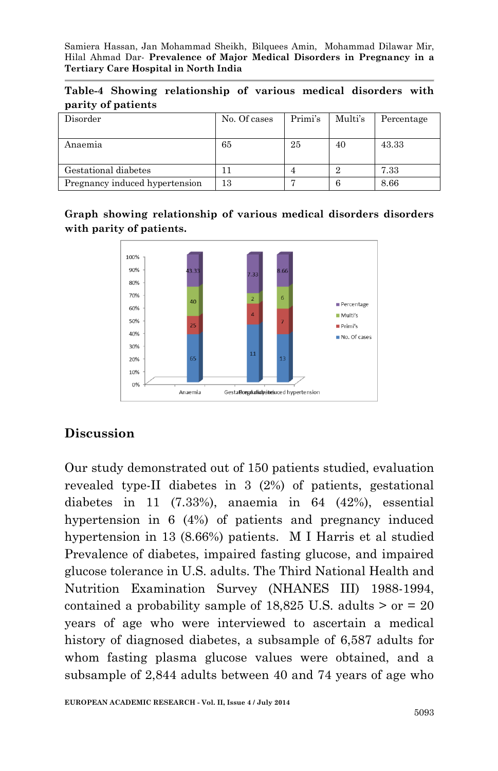|                    | Table-4 Showing relationship of various medical disorders with |  |  |  |
|--------------------|----------------------------------------------------------------|--|--|--|
| parity of patients |                                                                |  |  |  |

| Disorder                       | No. Of cases | Primi's | Multi's | Percentage |
|--------------------------------|--------------|---------|---------|------------|
| Anaemia                        | 65           | 25      | 40      | 43.33      |
| Gestational diabetes           |              |         |         | 7.33       |
| Pregnancy induced hypertension | 13           |         | 6       | 8.66       |

**Graph showing relationship of various medical disorders disorders with parity of patients.**



## **Discussion**

Our study demonstrated out of 150 patients studied, evaluation revealed type-II diabetes in 3 (2%) of patients, gestational diabetes in 11 (7.33%), anaemia in 64 (42%), essential hypertension in 6 (4%) of patients and pregnancy induced hypertension in 13 (8.66%) patients. M I Harris et al studied Prevalence of diabetes, impaired fasting glucose, and impaired glucose tolerance in U.S. adults. The Third National Health and Nutrition Examination Survey (NHANES III) 1988-1994, contained a probability sample of  $18,825$  U.S. adults  $>$  or  $=$  20 years of age who were interviewed to ascertain a medical history of diagnosed diabetes, a subsample of 6,587 adults for whom fasting plasma glucose values were obtained, and a subsample of 2,844 adults between 40 and 74 years of age who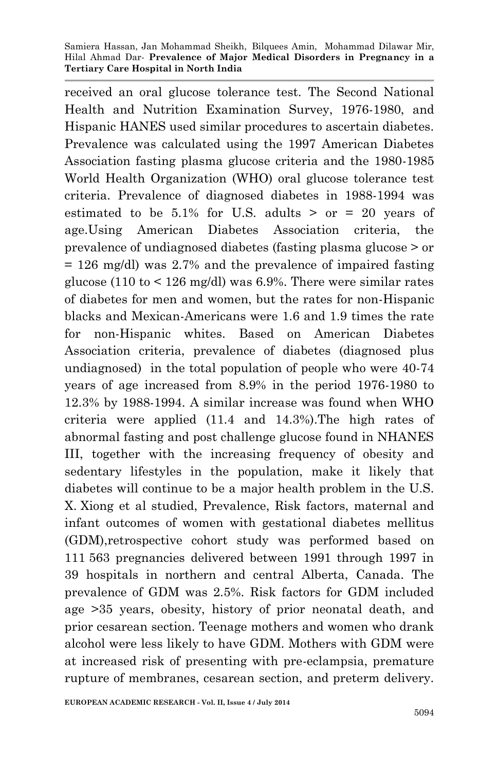received an oral glucose tolerance test. The Second National Health and Nutrition Examination Survey, 1976-1980, and Hispanic HANES used similar procedures to ascertain diabetes. Prevalence was calculated using the 1997 American Diabetes Association fasting plasma glucose criteria and the 1980-1985 World Health Organization (WHO) oral glucose tolerance test criteria. Prevalence of diagnosed diabetes in 1988-1994 was estimated to be  $5.1\%$  for U.S. adults > or = 20 years of age.Using American Diabetes Association criteria, the prevalence of undiagnosed diabetes (fasting plasma glucose > or = 126 mg/dl) was 2.7% and the prevalence of impaired fasting glucose (110 to  $\leq$  126 mg/dl) was 6.9%. There were similar rates of diabetes for men and women, but the rates for non-Hispanic blacks and Mexican-Americans were 1.6 and 1.9 times the rate for non-Hispanic whites. Based on American Diabetes Association criteria, prevalence of diabetes (diagnosed plus undiagnosed) in the total population of people who were 40-74 years of age increased from 8.9% in the period 1976-1980 to 12.3% by 1988-1994. A similar increase was found when WHO criteria were applied (11.4 and 14.3%).The high rates of abnormal fasting and post challenge glucose found in NHANES III, together with the increasing frequency of obesity and sedentary lifestyles in the population, make it likely that diabetes will continue to be a major health problem in the U.S. X. Xiong et al studied, Prevalence, Risk factors, maternal and infant outcomes of women with gestational diabetes mellitus (GDM),retrospective cohort study was performed based on 111 563 pregnancies delivered between 1991 through 1997 in 39 hospitals in northern and central Alberta, Canada. The prevalence of GDM was 2.5%. Risk factors for GDM included age >35 years, obesity, history of prior neonatal death, and prior cesarean section. Teenage mothers and women who drank alcohol were less likely to have GDM. Mothers with GDM were at increased risk of presenting with pre-eclampsia, premature rupture of membranes, cesarean section, and preterm delivery.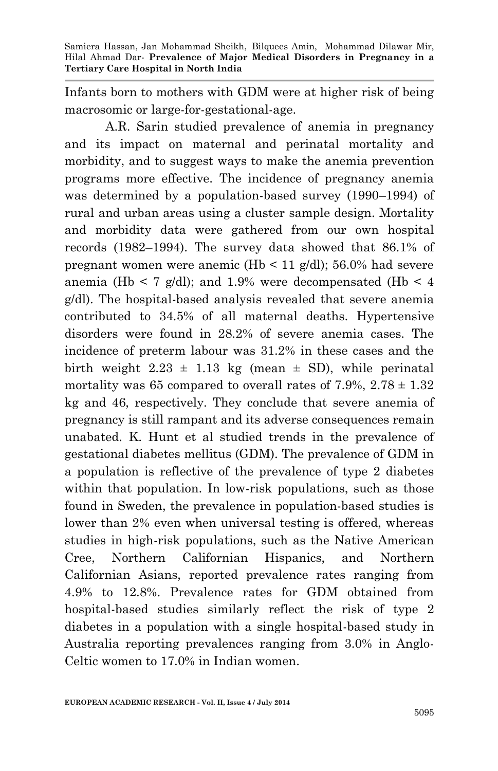Infants born to mothers with GDM were at higher risk of being macrosomic or large-for-gestational-age.

A.R. Sarin studied prevalence of anemia in pregnancy and its impact on maternal and perinatal mortality and morbidity, and to suggest ways to make the anemia prevention programs more effective. The incidence of pregnancy anemia was determined by a population-based survey (1990–1994) of rural and urban areas using a cluster sample design. Mortality and morbidity data were gathered from our own hospital records (1982–1994). The survey data showed that 86.1% of pregnant women were anemic (Hb < 11  $g/dl$ ); 56.0% had severe anemia (Hb  $\leq 7$  g/dl); and 1.9% were decompensated (Hb  $\leq 4$ ) g/dl). The hospital-based analysis revealed that severe anemia contributed to 34.5% of all maternal deaths. Hypertensive disorders were found in 28.2% of severe anemia cases. The incidence of preterm labour was 31.2% in these cases and the birth weight  $2.23 \pm 1.13$  kg (mean  $\pm$  SD), while perinatal mortality was 65 compared to overall rates of 7.9%,  $2.78 \pm 1.32$ kg and 46, respectively. They conclude that severe anemia of pregnancy is still rampant and its adverse consequences remain unabated. K. Hunt et al studied trends in the prevalence of gestational diabetes mellitus (GDM). The prevalence of GDM in a population is reflective of the prevalence of type 2 diabetes within that population. In low-risk populations, such as those found in Sweden, the prevalence in population-based studies is lower than 2% even when universal testing is offered, whereas studies in high-risk populations, such as the Native American Cree, Northern Californian Hispanics, and Northern Californian Asians, reported prevalence rates ranging from 4.9% to 12.8%. Prevalence rates for GDM obtained from hospital-based studies similarly reflect the risk of type 2 diabetes in a population with a single hospital-based study in Australia reporting prevalences ranging from 3.0% in Anglo-Celtic women to 17.0% in Indian women.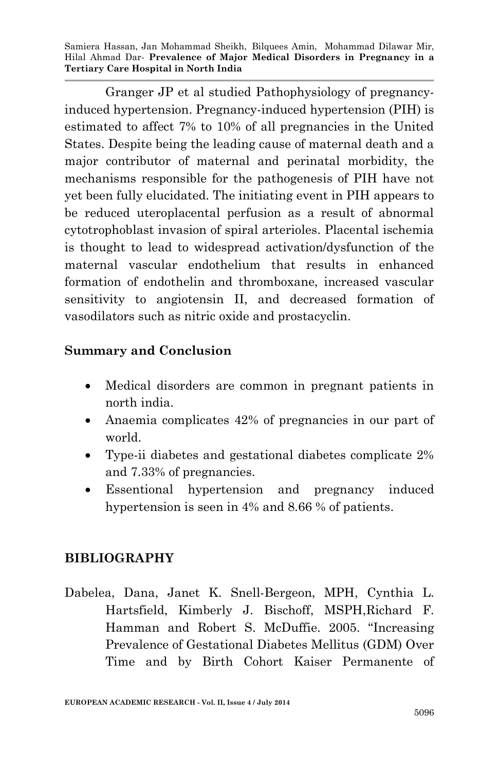Granger JP et al studied Pathophysiology of pregnancyinduced hypertension. Pregnancy-induced hypertension (PIH) is estimated to affect 7% to 10% of all pregnancies in the United States. Despite being the leading cause of maternal death and a major contributor of maternal and perinatal morbidity, the mechanisms responsible for the pathogenesis of PIH have not yet been fully elucidated. The initiating event in PIH appears to be reduced uteroplacental perfusion as a result of abnormal cytotrophoblast invasion of spiral arterioles. Placental ischemia is thought to lead to widespread activation/dysfunction of the maternal vascular endothelium that results in enhanced formation of endothelin and thromboxane, increased vascular sensitivity to angiotensin II, and decreased formation of vasodilators such as nitric oxide and prostacyclin.

### **Summary and Conclusion**

- Medical disorders are common in pregnant patients in north india.
- Anaemia complicates 42% of pregnancies in our part of world.
- Type-ii diabetes and gestational diabetes complicate 2% and 7.33% of pregnancies.
- Essentional hypertension and pregnancy induced hypertension is seen in 4% and 8.66 % of patients.

## **BIBLIOGRAPHY**

[Dabelea,](http://care.diabetesjournals.org/search?author1=Dana+Dabelea&sortspec=date&submit=Submit) Dana, [Janet K. Snell-Bergeon,](http://care.diabetesjournals.org/search?author1=Janet+K.+Snell-Bergeon&sortspec=date&submit=Submit) MPH, [Cynthia L.](http://care.diabetesjournals.org/search?author1=Cynthia+L.+Hartsfield&sortspec=date&submit=Submit)  [Hartsfield,](http://care.diabetesjournals.org/search?author1=Cynthia+L.+Hartsfield&sortspec=date&submit=Submit) [Kimberly J. Bischoff,](http://care.diabetesjournals.org/search?author1=Kimberly+J.+Bischoff&sortspec=date&submit=Submit) MSPH[,Richard F.](http://care.diabetesjournals.org/search?author1=Richard+F.+Hamman&sortspec=date&submit=Submit)  [Hamman](http://care.diabetesjournals.org/search?author1=Richard+F.+Hamman&sortspec=date&submit=Submit) and [Robert S. McDuffie](http://care.diabetesjournals.org/search?author1=Robert+S.+McDuffie&sortspec=date&submit=Submit). 2005. "Increasing Prevalence of Gestational Diabetes Mellitus (GDM) Over Time and by Birth Cohort Kaiser Permanente of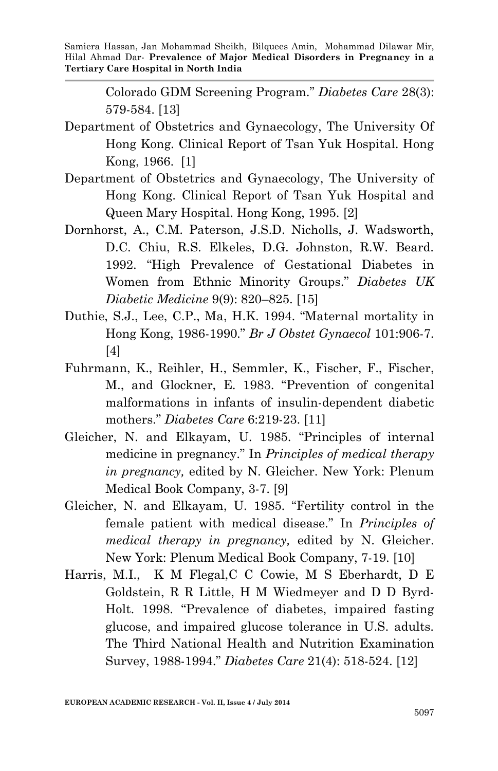> Colorado GDM Screening Program." *Diabetes Care* 28(3): 579-584. [13]

- Department of Obstetrics and Gynaecology, The University Of Hong Kong. Clinical Report of Tsan Yuk Hospital. Hong Kong, 1966. [1]
- Department of Obstetrics and Gynaecology, The University of Hong Kong. Clinical Report of Tsan Yuk Hospital and Queen Mary Hospital. Hong Kong, 1995. [2]
- Dornhorst, A., C.M. Paterson, J.S.D. Nicholls, J. Wadsworth, D.C. Chiu, R.S. Elkeles, D.G. Johnston, R.W. Beard. 1992. "High Prevalence of Gestational Diabetes in Women from Ethnic Minority Groups." *Diabetes UK Diabetic Medicine* 9(9): 820–825. [15]
- Duthie, S.J., Lee, C.P., Ma, H.K. 1994. "Maternal mortality in Hong Kong, 1986-1990." *Br J Obstet Gynaecol* 101:906-7. [4]
- Fuhrmann, K., Reihler, H., Semmler, K., Fischer, F., Fischer, M., and Glockner, E. 1983. "Prevention of congenital malformations in infants of insulin-dependent diabetic mothers." *Diabetes Care* 6:219-23. [11]
- Gleicher, N. and Elkayam, U. 1985. "Principles of internal medicine in pregnancy." In *Principles of medical therapy in pregnancy,* edited by N. Gleicher. New York: Plenum Medical Book Company, 3-7. [9]
- Gleicher, N. and Elkayam, U. 1985. "Fertility control in the female patient with medical disease." In *Principles of medical therapy in pregnancy,* edited by N. Gleicher. New York: Plenum Medical Book Company, 7-19. [10]
- [Harris,](http://care.diabetesjournals.org/search?author1=M+I+Harris&sortspec=date&submit=Submit) M.I., [K M Flegal](http://care.diabetesjournals.org/search?author1=K+M+Flegal&sortspec=date&submit=Submit)[,C C Cowie,](http://care.diabetesjournals.org/search?author1=C+C+Cowie&sortspec=date&submit=Submit) [M S Eberhardt,](http://care.diabetesjournals.org/search?author1=M+S+Eberhardt&sortspec=date&submit=Submit) [D E](http://care.diabetesjournals.org/search?author1=D+E+Goldstein&sortspec=date&submit=Submit)  [Goldstein,](http://care.diabetesjournals.org/search?author1=D+E+Goldstein&sortspec=date&submit=Submit) [R R Little,](http://care.diabetesjournals.org/search?author1=R+R+Little&sortspec=date&submit=Submit) [H M Wiedmeyer](http://care.diabetesjournals.org/search?author1=H+M+Wiedmeyer&sortspec=date&submit=Submit) and [D D Byrd-](http://care.diabetesjournals.org/search?author1=D+D+Byrd-Holt&sortspec=date&submit=Submit)[Holt.](http://care.diabetesjournals.org/search?author1=D+D+Byrd-Holt&sortspec=date&submit=Submit) 1998. "Prevalence of diabetes, impaired fasting glucose, and impaired glucose tolerance in U.S. adults. The Third National Health and Nutrition Examination Survey, 1988-1994." *Diabetes Care* 21(4): 518-524. [12]